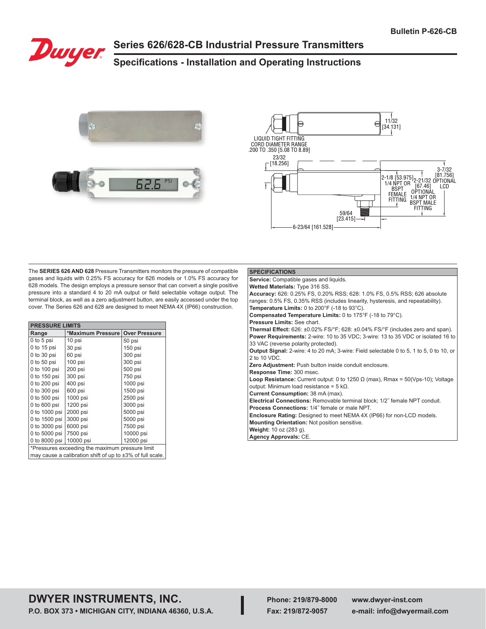

# **Series 626/628-CB Industrial Pressure Transmitters**

# **Specifications - Installation and Operating Instructions**





The **SERIES 626 AND 628** Pressure Transmitters monitors the pressure of compatible gases and liquids with 0.25% FS accuracy for 626 models or 1.0% FS accuracy for 628 models. The design employs a pressure sensor that can convert a single positive pressure into a standard 4 to 20 mA output or field selectable voltage output. The terminal block, as well as a zero adjustment button, are easily accessed under the top cover. The Series 626 and 628 are designed to meet NEMA 4X (IP66) construction.

| <b>PRESSURE LIMITS</b>                                          |                                           |           |  |  |  |  |  |
|-----------------------------------------------------------------|-------------------------------------------|-----------|--|--|--|--|--|
| Range                                                           | *Maximum Pressure<br><b>Over Pressure</b> |           |  |  |  |  |  |
| 0 to 5 psi                                                      | 10 psi                                    | 50 psi    |  |  |  |  |  |
| 0 to 15 psi                                                     | 30 psi                                    | 150 psi   |  |  |  |  |  |
| $0$ to $30$ psi                                                 | 60 psi                                    | 300 psi   |  |  |  |  |  |
| $0$ to $50$ psi                                                 | 100 psi                                   | 300 psi   |  |  |  |  |  |
| 0 to 100 psi                                                    | 200 psi                                   | 500 psi   |  |  |  |  |  |
| 0 to 150 psi                                                    | 300 psi                                   | 750 psi   |  |  |  |  |  |
| 0 to 200 psi                                                    | 400 psi                                   | 1000 psi  |  |  |  |  |  |
| 0 to 300 psi                                                    | 600 psi                                   | 1500 psi  |  |  |  |  |  |
| 0 to 500 psi                                                    | 1000 psi                                  | 2500 psi  |  |  |  |  |  |
| 0 to 600 psi                                                    | 1200 psi                                  | 3000 psi  |  |  |  |  |  |
| 0 to 1000 psi                                                   | 2000 psi                                  | 5000 psi  |  |  |  |  |  |
| 0 to 1500 psi                                                   | 3000 psi                                  | 5000 psi  |  |  |  |  |  |
| 0 to 3000 psi                                                   | 6000 psi                                  | 7500 psi  |  |  |  |  |  |
| 0 to 5000 psi                                                   | 7500 psi                                  | 10000 psi |  |  |  |  |  |
| 0 to 8000 psi                                                   | 10000 psi                                 | 12000 psi |  |  |  |  |  |
| *Pressures exceeding the maximum pressure limit                 |                                           |           |  |  |  |  |  |
| may cause a calibration shift of up to $\pm 3\%$ of full scale. |                                           |           |  |  |  |  |  |

#### **SPECIFICATIONS Service:** Compatible gases and liquids. **Wetted Materials:** Type 316 SS. **Accuracy:** 626: 0.25% FS, 0.20% RSS; 628: 1.0% FS, 0.5% RSS; 626 absolute ranges: 0.5% FS, 0.35% RSS (includes linearity, hysteresis, and repeatability). **Temperature Limits:** 0 to 200°F (-18 to 93°C). **Compensated Temperature Limits:** 0 to 175°F (-18 to 79°C). **Pressure Limits:** See chart. **Thermal Effect:** 626: ±0.02% FS/°F; 628: ±0.04% FS/°F (includes zero and span). **Power Requirements:** 2-wire: 10 to 35 VDC; 3-wire: 13 to 35 VDC or isolated 16 to 33 VAC (reverse polarity protected). **Output Signal:** 2-wire: 4 to 20 mA; 3-wire: Field selectable 0 to 5, 1 to 5, 0 to 10, or 2 to 10 VDC. **Zero Adjustment:** Push button inside conduit enclosure. **Response Time:** 300 msec. **Loop Resistance:** Current output: 0 to 1250 Ω (max), Rmax = 50(Vps-10); Voltage output: Minimum load resistance = 5 kΩ. **Current Consumption:** 38 mA (max). **Electrical Connections:** Removable terminal block; 1/2˝ female NPT conduit. **Process Connections:** 1/4˝ female or male NPT. **Enclosure Rating:** Designed to meet NEMA 4X (IP66) for non-LCD models. **Mounting Orientation:** Not position sensitive. **Weight:** 10 oz (283 g). **Agency Approvals:** CE.

# **DWYER INSTRUMENTS, INC. P.O. BOX 373 • MICHIGAN CITY, INDIANA 46360, U.S.A.**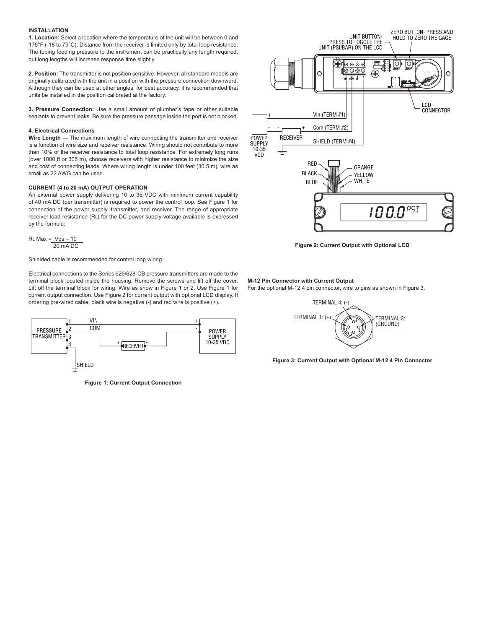#### **INSTALLATION**

**1. Location:** Select a location where the temperature of the unit will be between 0 and 175°F (-18 to 79°C). Distance from the receiver is limited only by total loop resistance. The tubing feeding pressure to the instrument can be practically any length required, but long lengths will increase response time slightly.

**2. Position:** The transmitter is not position sensitive. However, all standard models are originally calibrated with the unit in a position with the pressure connection downward. Although they can be used at other angles, for best accuracy, it is recommended that units be installed in the position calibrated at the factory.

**3. Pressure Connection:** Use a small amount of plumber's tape or other suitable sealants to prevent leaks. Be sure the pressure passage inside the port is not blocked.

#### **4. Electrical Connections**

**Wire Length —** The maximum length of wire connecting the transmitter and receiver is a function of wire size and receiver resistance. Wiring should not contribute to more than 10% of the receiver resistance to total loop resistance. For extremely long runs (over 1000 ft or 305 m), choose receivers with higher resistance to minimize the size and cost of connecting leads. Where wiring length is under 100 feet (30.5 m), wire as small as 22 AWG can be used.

#### **CURRENT (4 to 20 mA) OUTPUT OPERATION**

An external power supply delivering 10 to 35 VDC with minimum current capability of 40 mA DC (per transmitter) is required to power the control loop. See Figure 1 for connection of the power supply, transmitter, and receiver. The range of appropriate receiver load resistance (RL) for the DC power supply voltage available is expressed by the formula:

 $R<sub>L</sub>$  Max =  $Vps - 10$ 20 mA DC

Shielded cable is recommended for control loop wiring.

Electrical connections to the Series 626/628-CB pressure transmitters are made to the terminal block located inside the housing. Remove the screws and lift off the cover. Lift off the terminal block for wiring. Wire as show in Figure 1 or 2. Use Figure 1 for current output connection. Use Figure 2 for current output with optional LCD display. If ordering pre-wired cable, black wire is negative (-) and red wire is positive (+).



**Figure 1: Current Output Connection**



**Figure 2: Current Output with Optional LCD**

#### **M-12 Pin Connector with Current Output**

For the optional M-12 4 pin connector, wire to pins as shown in Figure 3.



**Figure 3: Current Output with Optional M-12 4 Pin Connector**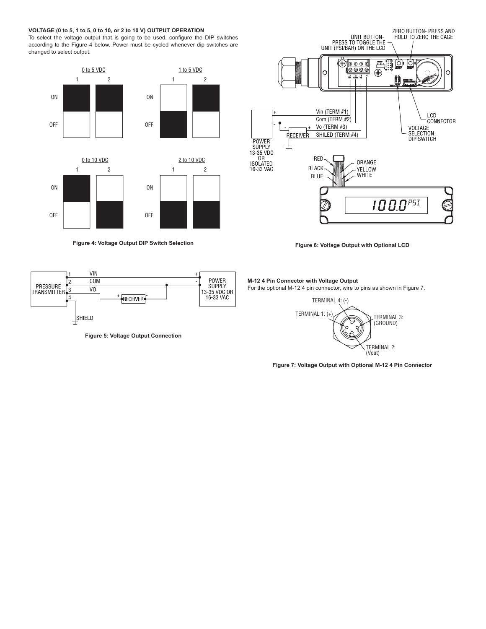## **VOLTAGE (0 to 5, 1 to 5, 0 to 10, or 2 to 10 V) OUTPUT OPERATION**

To select the voltage output that is going to be used, configure the DIP switches according to the Figure 4 below. Power must be cycled whenever dip switches are changed to select output.



**Figure 4: Voltage Output DIP Switch Selection**



**Figure 5: Voltage Output Connection**



**Figure 6: Voltage Output with Optional LCD**

### **M-12 4 Pin Connector with Voltage Output**

For the optional M-12 4 pin connector, wire to pins as shown in Figure 7.



**Figure 7: Voltage Output with Optional M-12 4 Pin Connector**